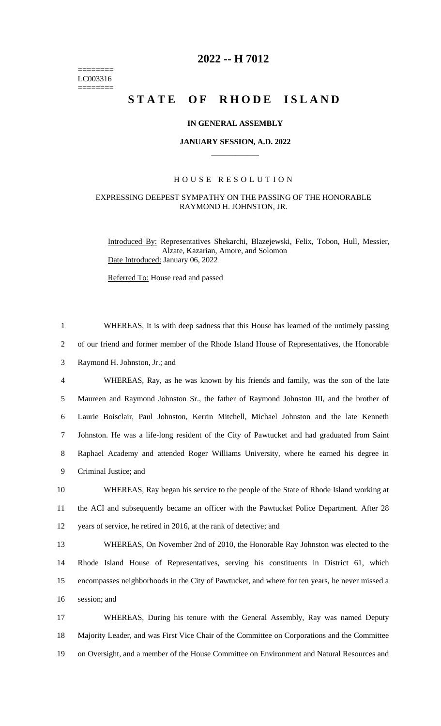======== LC003316  $=$ 

## **2022 -- H 7012**

# STATE OF RHODE ISLAND

#### **IN GENERAL ASSEMBLY**

#### **JANUARY SESSION, A.D. 2022 \_\_\_\_\_\_\_\_\_\_\_\_**

### H O U S E R E S O L U T I O N

#### EXPRESSING DEEPEST SYMPATHY ON THE PASSING OF THE HONORABLE RAYMOND H. JOHNSTON, JR.

Introduced By: Representatives Shekarchi, Blazejewski, Felix, Tobon, Hull, Messier, Alzate, Kazarian, Amore, and Solomon Date Introduced: January 06, 2022

Referred To: House read and passed

| $\mathbf{1}$   | WHEREAS, It is with deep sadness that this House has learned of the untimely passing           |
|----------------|------------------------------------------------------------------------------------------------|
| 2              | of our friend and former member of the Rhode Island House of Representatives, the Honorable    |
| 3              | Raymond H. Johnston, Jr.; and                                                                  |
| $\overline{4}$ | WHEREAS, Ray, as he was known by his friends and family, was the son of the late               |
| 5              | Maureen and Raymond Johnston Sr., the father of Raymond Johnston III, and the brother of       |
| 6              | Laurie Boisclair, Paul Johnston, Kerrin Mitchell, Michael Johnston and the late Kenneth        |
| $\tau$         | Johnston. He was a life-long resident of the City of Pawtucket and had graduated from Saint    |
| 8              | Raphael Academy and attended Roger Williams University, where he earned his degree in          |
| 9              | Criminal Justice; and                                                                          |
| 10             | WHEREAS, Ray began his service to the people of the State of Rhode Island working at           |
| 11             | the ACI and subsequently became an officer with the Pawtucket Police Department. After 28      |
| 12             | years of service, he retired in 2016, at the rank of detective; and                            |
| 13             | WHEREAS, On November 2nd of 2010, the Honorable Ray Johnston was elected to the                |
| 14             | Rhode Island House of Representatives, serving his constituents in District 61, which          |
| 15             | encompasses neighborhoods in the City of Pawtucket, and where for ten years, he never missed a |
| 16             | session; and                                                                                   |
| 17             | WHEREAS, During his tenure with the General Assembly, Ray was named Deputy                     |
| 18             | Majority Leader, and was First Vice Chair of the Committee on Corporations and the Committee   |
| 19             | on Oversight, and a member of the House Committee on Environment and Natural Resources and     |